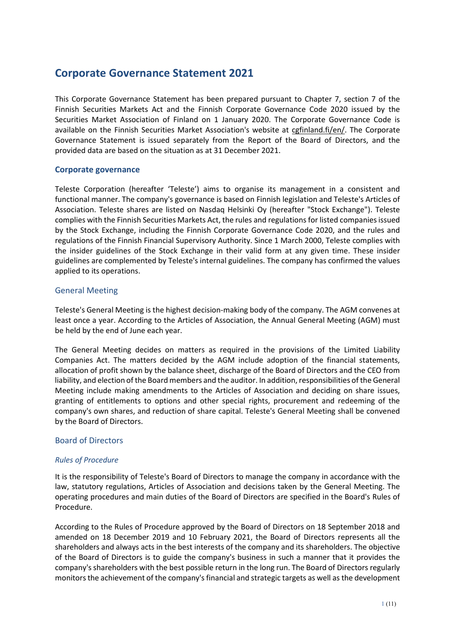# **Corporate Governance Statement 2021**

This Corporate Governance Statement has been prepared pursuant to Chapter 7, section 7 of the Finnish Securities Markets Act and the Finnish Corporate Governance Code 2020 issued by the Securities Market Association of Finland on 1 January 2020. The Corporate Governance Code is available on the Finnish Securities Market Association's website at [cgfinland.fi/en/. T](http://cgfinland.fi/en/)he Corporate Governance Statement is issued separately from the Report of the Board of Directors, and the provided data are based on the situation as at 31 December 2021.

## **Corporate governance**

Teleste Corporation (hereafter 'Teleste') aims to organise its management in a consistent and functional manner. The company's governance is based on Finnish legislation and Teleste's Articles of Association. Teleste shares are listed on Nasdaq Helsinki Oy (hereafter "Stock Exchange"). Teleste complies with the Finnish Securities Markets Act, the rules and regulations for listed companies issued by the Stock Exchange, including the Finnish Corporate Governance Code 2020, and the rules and regulations of the Finnish Financial Supervisory Authority. Since 1 March 2000, Teleste complies with the insider guidelines of the Stock Exchange in their valid form at any given time. These insider guidelines are complemented by Teleste's internal guidelines. The company has confirmed the values applied to its operations.

## General Meeting

Teleste's General Meeting is the highest decision-making body of the company. The AGM convenes at least once a year. According to the Articles of Association, the Annual General Meeting (AGM) must be held by the end of June each year.

The General Meeting decides on matters as required in the provisions of the Limited Liability Companies Act. The matters decided by the AGM include adoption of the financial statements, allocation of profit shown by the balance sheet, discharge of the Board of Directors and the CEO from liability, and election of the Board members and the auditor. In addition, responsibilities of the General Meeting include making amendments to the Articles of Association and deciding on share issues, granting of entitlements to options and other special rights, procurement and redeeming of the company's own shares, and reduction of share capital. Teleste's General Meeting shall be convened by the Board of Directors.

# Board of Directors

#### *Rules of Procedure*

It is the responsibility of Teleste's Board of Directors to manage the company in accordance with the law, statutory regulations, Articles of Association and decisions taken by the General Meeting. The operating procedures and main duties of the Board of Directors are specified in the Board's Rules of Procedure.

According to the Rules of Procedure approved by the Board of Directors on 18 September 2018 and amended on 18 December 2019 and 10 February 2021, the Board of Directors represents all the shareholders and always acts in the best interests of the company and its shareholders. The objective of the Board of Directors is to guide the company's business in such a manner that it provides the company's shareholders with the best possible return in the long run. The Board of Directors regularly monitors the achievement of the company's financial and strategic targets as well as the development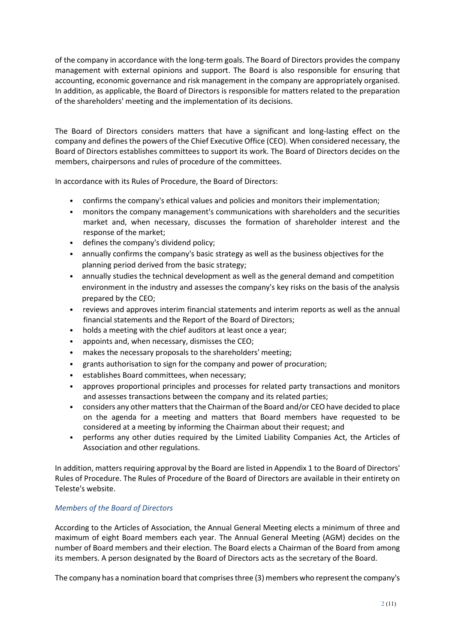of the company in accordance with the long-term goals. The Board of Directors provides the company management with external opinions and support. The Board is also responsible for ensuring that accounting, economic governance and risk management in the company are appropriately organised. In addition, as applicable, the Board of Directors is responsible for matters related to the preparation of the shareholders' meeting and the implementation of its decisions.

The Board of Directors considers matters that have a significant and long-lasting effect on the company and defines the powers of the Chief Executive Office (CEO). When considered necessary, the Board of Directors establishes committees to support its work. The Board of Directors decides on the members, chairpersons and rules of procedure of the committees.

In accordance with its Rules of Procedure, the Board of Directors:

- confirms the company's ethical values and policies and monitors their implementation;
- monitors the company management's communications with shareholders and the securities market and, when necessary, discusses the formation of shareholder interest and the response of the market;
- defines the company's dividend policy;
- annually confirms the company's basic strategy as well as the business objectives for the planning period derived from the basic strategy;
- annually studies the technical development as well as the general demand and competition environment in the industry and assesses the company's key risks on the basis of the analysis prepared by the CEO;
- reviews and approves interim financial statements and interim reports as well as the annual financial statements and the Report of the Board of Directors;
- holds a meeting with the chief auditors at least once a year;
- appoints and, when necessary, dismisses the CEO;
- makes the necessary proposals to the shareholders' meeting;
- grants authorisation to sign for the company and power of procuration;
- establishes Board committees, when necessary;
- approves proportional principles and processes for related party transactions and monitors and assesses transactions between the company and its related parties;
- considers any other matters that the Chairman of the Board and/or CEO have decided to place on the agenda for a meeting and matters that Board members have requested to be considered at a meeting by informing the Chairman about their request; and
- performs any other duties required by the Limited Liability Companies Act, the Articles of Association and other regulations.

In addition, matters requiring approval by the Board are listed in Appendix 1 to the Board of Directors' Rules of Procedure. The Rules of Procedure of the Board of Directors are available in their entirety on Teleste's website.

# *Members of the Board of Directors*

According to the Articles of Association, the Annual General Meeting elects a minimum of three and maximum of eight Board members each year. The Annual General Meeting (AGM) decides on the number of Board members and their election. The Board elects a Chairman of the Board from among its members. A person designated by the Board of Directors acts as the secretary of the Board.

The company has a nomination board that comprises three (3) members who represent the company's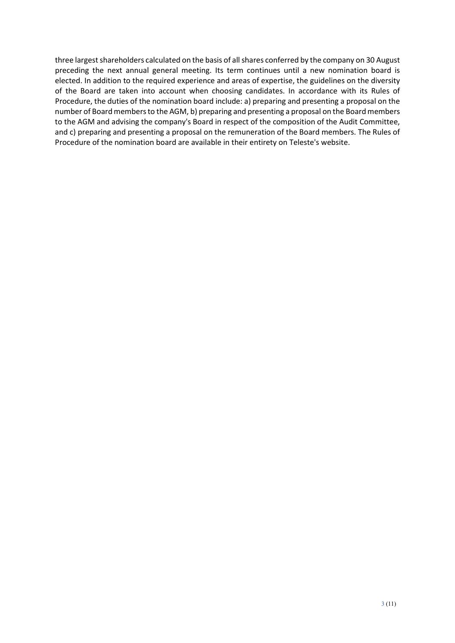three largest shareholders calculated on the basis of all shares conferred by the company on 30 August preceding the next annual general meeting. Its term continues until a new nomination board is elected. In addition to the required experience and areas of expertise, the guidelines on the diversity of the Board are taken into account when choosing candidates. In accordance with its Rules of Procedure, the duties of the nomination board include: a) preparing and presenting a proposal on the number of Board members to the AGM, b) preparing and presenting a proposal on the Board members to the AGM and advising the company's Board in respect of the composition of the Audit Committee, and c) preparing and presenting a proposal on the remuneration of the Board members. The Rules of Procedure of the nomination board are available in their entirety on Teleste's website.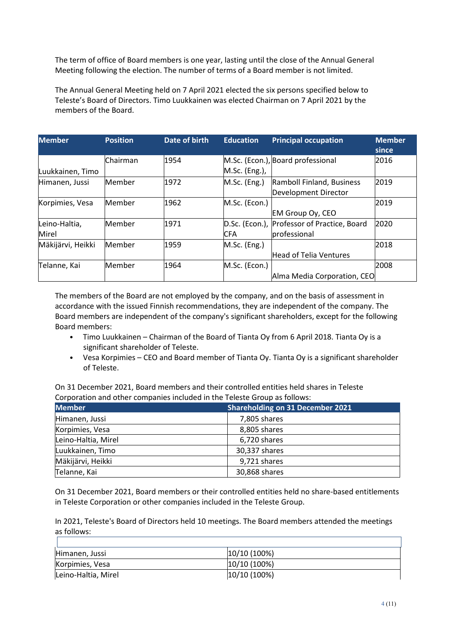The term of office of Board members is one year, lasting until the close of the Annual General Meeting following the election. The number of terms of a Board member is not limited.

The Annual General Meeting held on 7 April 2021 elected the six persons specified below to Teleste's Board of Directors. Timo Luukkainen was elected Chairman on 7 April 2021 by the members of the Board.

| <b>Member</b>     | <b>Position</b> | <b>Date of birth</b> | <b>Education</b> | <b>Principal occupation</b>       | <b>Member</b> |
|-------------------|-----------------|----------------------|------------------|-----------------------------------|---------------|
|                   |                 |                      |                  |                                   | since         |
|                   | Chairman        | 1954                 |                  | M.Sc. (Econ.), Board professional | 2016          |
| Luukkainen, Timo  |                 |                      | M.Sc. (Eng.),    |                                   |               |
| Himanen, Jussi    | Member          | 1972                 | M.Sc. (Eng.)     | Ramboll Finland, Business         | 2019          |
|                   |                 |                      |                  | <b>Development Director</b>       |               |
| Korpimies, Vesa   | Member          | 1962                 | M.Sc. (Econ.)    |                                   | 2019          |
|                   |                 |                      |                  | EM Group Oy, CEO                  |               |
| Leino-Haltia,     | Member          | 1971                 | D.Sc. (Econ.),   | Professor of Practice, Board      | 2020          |
| Mirel             |                 |                      | <b>CFA</b>       | professional                      |               |
| Mäkijärvi, Heikki | Member          | 1959                 | M.Sc. (Eng.)     |                                   | 2018          |
|                   |                 |                      |                  | Head of Telia Ventures            |               |
| Telanne, Kai      | Member          | 1964                 | M.Sc. (Econ.)    |                                   | 2008          |
|                   |                 |                      |                  | Alma Media Corporation, CEO       |               |

The members of the Board are not employed by the company, and on the basis of assessment in accordance with the issued Finnish recommendations, they are independent of the company. The Board members are independent of the company's significant shareholders, except for the following Board members:

- Timo Luukkainen Chairman of the Board of Tianta Oy from 6 April 2018. Tianta Oy is a significant shareholder of Teleste.
- Vesa Korpimies CEO and Board member of Tianta Oy. Tianta Oy is a significant shareholder of Teleste.

On 31 December 2021, Board members and their controlled entities held shares in Teleste Corporation and other companies included in the Teleste Group as follows:

| <b>Member</b>       | <b>Shareholding on 31 December 2021</b> |
|---------------------|-----------------------------------------|
| Himanen, Jussi      | 7,805 shares                            |
| Korpimies, Vesa     | 8,805 shares                            |
| Leino-Haltia, Mirel | 6,720 shares                            |
| Luukkainen, Timo    | 30,337 shares                           |
| Mäkijärvi, Heikki   | 9,721 shares                            |
| Telanne, Kai        | 30,868 shares                           |

On 31 December 2021, Board members or their controlled entities held no share-based entitlements in Teleste Corporation or other companies included in the Teleste Group.

In 2021, Teleste's Board of Directors held 10 meetings. The Board members attended the meetings as follows:

| Himanen, Jussi      | 10/10 (100%) |
|---------------------|--------------|
| Korpimies, Vesa     | 10/10 (100%) |
| Leino-Haltia, Mirel | 10/10 (100%) |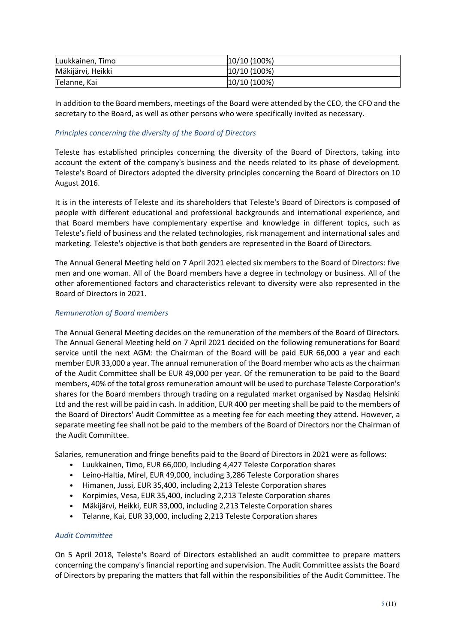| Luukkainen, Timo  | $ 10/10(100\%)$ |
|-------------------|-----------------|
| Mäkijärvi, Heikki | $ 10/10(100\%)$ |
| Telanne, Kai      | $ 10/10(100\%)$ |

In addition to the Board members, meetings of the Board were attended by the CEO, the CFO and the secretary to the Board, as well as other persons who were specifically invited as necessary.

## *Principles concerning the diversity of the Board of Directors*

Teleste has established principles concerning the diversity of the Board of Directors, taking into account the extent of the company's business and the needs related to its phase of development. Teleste's Board of Directors adopted the diversity principles concerning the Board of Directors on 10 August 2016.

It is in the interests of Teleste and its shareholders that Teleste's Board of Directors is composed of people with different educational and professional backgrounds and international experience, and that Board members have complementary expertise and knowledge in different topics, such as Teleste's field of business and the related technologies, risk management and international sales and marketing. Teleste's objective is that both genders are represented in the Board of Directors.

The Annual General Meeting held on 7 April 2021 elected six members to the Board of Directors: five men and one woman. All of the Board members have a degree in technology or business. All of the other aforementioned factors and characteristics relevant to diversity were also represented in the Board of Directors in 2021.

## *Remuneration of Board members*

The Annual General Meeting decides on the remuneration of the members of the Board of Directors. The Annual General Meeting held on 7 April 2021 decided on the following remunerations for Board service until the next AGM: the Chairman of the Board will be paid EUR 66,000 a year and each member EUR 33,000 a year. The annual remuneration of the Board member who acts as the chairman of the Audit Committee shall be EUR 49,000 per year. Of the remuneration to be paid to the Board members, 40% of the total gross remuneration amount will be used to purchase Teleste Corporation's shares for the Board members through trading on a regulated market organised by Nasdaq Helsinki Ltd and the rest will be paid in cash. In addition, EUR 400 per meeting shall be paid to the members of the Board of Directors' Audit Committee as a meeting fee for each meeting they attend. However, a separate meeting fee shall not be paid to the members of the Board of Directors nor the Chairman of the Audit Committee.

Salaries, remuneration and fringe benefits paid to the Board of Directors in 2021 were as follows:

- Luukkainen, Timo, EUR 66,000, including 4,427 Teleste Corporation shares
- Leino-Haltia, Mirel, EUR 49,000, including 3,286 Teleste Corporation shares
- Himanen, Jussi, EUR 35,400, including 2,213 Teleste Corporation shares
- Korpimies, Vesa, EUR 35,400, including 2,213 Teleste Corporation shares
- Mäkijärvi, Heikki, EUR 33,000, including 2,213 Teleste Corporation shares
- Telanne, Kai, EUR 33,000, including 2,213 Teleste Corporation shares

#### *Audit Committee*

On 5 April 2018, Teleste's Board of Directors established an audit committee to prepare matters concerning the company's financial reporting and supervision. The Audit Committee assists the Board of Directors by preparing the matters that fall within the responsibilities of the Audit Committee. The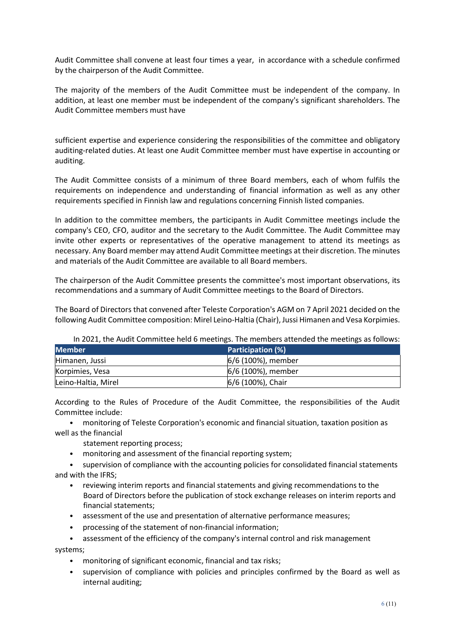Audit Committee shall convene at least four times a year, in accordance with a schedule confirmed by the chairperson of the Audit Committee.

The majority of the members of the Audit Committee must be independent of the company. In addition, at least one member must be independent of the company's significant shareholders. The Audit Committee members must have

sufficient expertise and experience considering the responsibilities of the committee and obligatory auditing-related duties. At least one Audit Committee member must have expertise in accounting or auditing.

The Audit Committee consists of a minimum of three Board members, each of whom fulfils the requirements on independence and understanding of financial information as well as any other requirements specified in Finnish law and regulations concerning Finnish listed companies.

In addition to the committee members, the participants in Audit Committee meetings include the company's CEO, CFO, auditor and the secretary to the Audit Committee. The Audit Committee may invite other experts or representatives of the operative management to attend its meetings as necessary. Any Board member may attend Audit Committee meetings at their discretion. The minutes and materials of the Audit Committee are available to all Board members.

The chairperson of the Audit Committee presents the committee's most important observations, its recommendations and a summary of Audit Committee meetings to the Board of Directors.

The Board of Directors that convened after Teleste Corporation's AGM on 7 April 2021 decided on the following Audit Committee composition: Mirel Leino-Haltia (Chair), Jussi Himanen and Vesa Korpimies.

| <b>Member</b>       | <b>Participation (%)</b> |  |
|---------------------|--------------------------|--|
| Himanen, Jussi      | 6/6 (100%), member       |  |
| Korpimies, Vesa     | 6/6 (100%), member       |  |
| Leino-Haltia, Mirel | 6/6 (100%), Chair        |  |

In 2021, the Audit Committee held 6 meetings. The members attended the meetings as follows:

According to the Rules of Procedure of the Audit Committee, the responsibilities of the Audit Committee include:

• monitoring of Teleste Corporation's economic and financial situation, taxation position as well as the financial

statement reporting process;

• monitoring and assessment of the financial reporting system;

• supervision of compliance with the accounting policies for consolidated financial statements and with the IFRS;

- reviewing interim reports and financial statements and giving recommendations to the Board of Directors before the publication of stock exchange releases on interim reports and financial statements;
- assessment of the use and presentation of alternative performance measures;
- processing of the statement of non-financial information;
- assessment of the efficiency of the company's internal control and risk management

systems;

- monitoring of significant economic, financial and tax risks;
- supervision of compliance with policies and principles confirmed by the Board as well as internal auditing;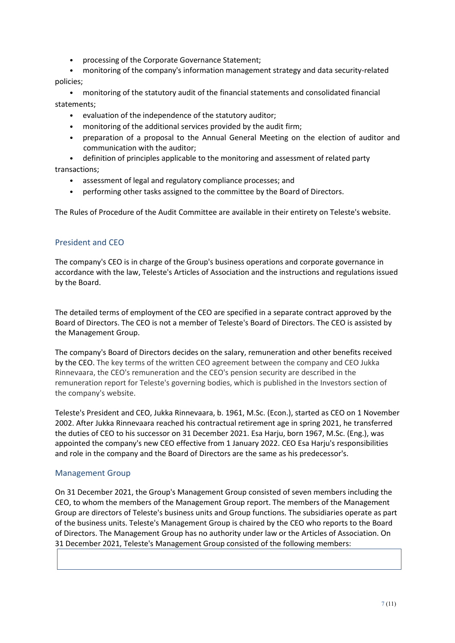• processing of the Corporate Governance Statement;

• monitoring of the company's information management strategy and data security-related policies;

• monitoring of the statutory audit of the financial statements and consolidated financial statements;

- evaluation of the independence of the statutory auditor;
- monitoring of the additional services provided by the audit firm;
- preparation of a proposal to the Annual General Meeting on the election of auditor and communication with the auditor;
- definition of principles applicable to the monitoring and assessment of related party transactions;
	- assessment of legal and regulatory compliance processes; and
	- performing other tasks assigned to the committee by the Board of Directors.

The Rules of Procedure of the Audit Committee are available in their entirety on Teleste's website.

# President and CEO

The company's CEO is in charge of the Group's business operations and corporate governance in accordance with the law, Teleste's Articles of Association and the instructions and regulations issued by the Board.

The detailed terms of employment of the CEO are specified in a separate contract approved by the Board of Directors. The CEO is not a member of Teleste's Board of Directors. The CEO is assisted by the Management Group.

The company's Board of Directors decides on the salary, remuneration and other benefits received by the CEO. The key terms of the written CEO agreement between the company and CEO Jukka Rinnevaara, the CEO's remuneration and the CEO's pension security are described in the remuneration report for Teleste's governing bodies, which is published in the Investors section of the company's website.

Teleste's President and CEO, Jukka Rinnevaara, b. 1961, M.Sc. (Econ.), started as CEO on 1 November 2002. After Jukka Rinnevaara reached his contractual retirement age in spring 2021, he transferred the duties of CEO to his successor on 31 December 2021. Esa Harju, born 1967, M.Sc. (Eng.), was appointed the company's new CEO effective from 1 January 2022. CEO Esa Harju's responsibilities and role in the company and the Board of Directors are the same as his predecessor's.

# Management Group

On 31 December 2021, the Group's Management Group consisted of seven members including the CEO, to whom the members of the Management Group report. The members of the Management Group are directors of Teleste's business units and Group functions. The subsidiaries operate as part of the business units. Teleste's Management Group is chaired by the CEO who reports to the Board of Directors. The Management Group has no authority under law or the Articles of Association. On 31 December 2021, Teleste's Management Group consisted of the following members: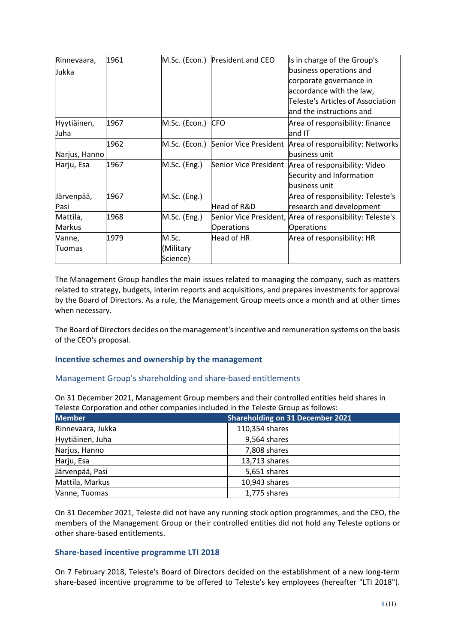| Rinnevaara,<br>Jukka      | 1961 |                                | M.Sc. (Econ.) President and CEO | Is in charge of the Group's<br>business operations and<br>corporate governance in<br>accordance with the law,<br><b>Teleste's Articles of Association</b><br>and the instructions and |
|---------------------------|------|--------------------------------|---------------------------------|---------------------------------------------------------------------------------------------------------------------------------------------------------------------------------------|
| Hyytiäinen,<br>Juha       | 1967 | M.Sc. (Econ.)                  | <b>CFO</b>                      | Area of responsibility: finance<br>$l$ and IT                                                                                                                                         |
| Narjus, Hanno             | 1962 | M.Sc. (Econ.)                  | Senior Vice President           | Area of responsibility: Networks<br>business unit                                                                                                                                     |
| Harju, Esa                | 1967 | $M.Sc.$ (Eng.)                 | Senior Vice President           | Area of responsibility: Video<br>Security and Information<br>business unit                                                                                                            |
| Järvenpää,<br>Pasi        | 1967 | M.Sc. (Eng.)                   | Head of R&D                     | Area of responsibility: Teleste's<br>research and development                                                                                                                         |
| Mattila,<br><b>Markus</b> | 1968 | $M.Sc.$ (Eng.)                 | <b>Operations</b>               | Senior Vice President, Area of responsibility: Teleste's<br><b>Operations</b>                                                                                                         |
| Vanne,<br>Tuomas          | 1979 | M.Sc.<br>(Military<br>Science) | Head of HR                      | Area of responsibility: HR                                                                                                                                                            |

The Management Group handles the main issues related to managing the company, such as matters related to strategy, budgets, interim reports and acquisitions, and prepares investments for approval by the Board of Directors. As a rule, the Management Group meets once a month and at other times when necessary.

The Board of Directors decides on the management's incentive and remuneration systems on the basis of the CEO's proposal.

# **Incentive schemes and ownership by the management**

#### Management Group's shareholding and share-based entitlements

On 31 December 2021, Management Group members and their controlled entities held shares in Teleste Corporation and other companies included in the Teleste Group as follows:

| <b>Member</b>     | <b>Shareholding on 31 December 2021</b> |
|-------------------|-----------------------------------------|
| Rinnevaara, Jukka | 110,354 shares                          |
| Hyytiäinen, Juha  | 9,564 shares                            |
| Narjus, Hanno     | 7,808 shares                            |
| Harju, Esa        | 13,713 shares                           |
| Järvenpää, Pasi   | 5,651 shares                            |
| Mattila, Markus   | 10,943 shares                           |
| Vanne, Tuomas     | 1,775 shares                            |

On 31 December 2021, Teleste did not have any running stock option programmes, and the CEO, the members of the Management Group or their controlled entities did not hold any Teleste options or other share-based entitlements.

#### **Share-based incentive programme LTI 2018**

On 7 February 2018, Teleste's Board of Directors decided on the establishment of a new long-term share-based incentive programme to be offered to Teleste's key employees (hereafter "LTI 2018").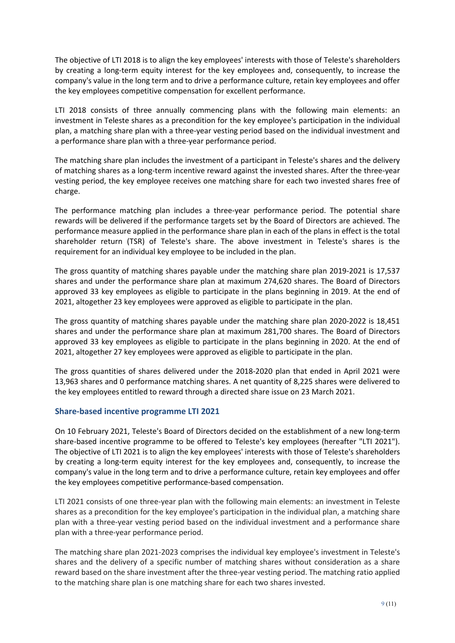The objective of LTI 2018 is to align the key employees' interests with those of Teleste's shareholders by creating a long-term equity interest for the key employees and, consequently, to increase the company's value in the long term and to drive a performance culture, retain key employees and offer the key employees competitive compensation for excellent performance.

LTI 2018 consists of three annually commencing plans with the following main elements: an investment in Teleste shares as a precondition for the key employee's participation in the individual plan, a matching share plan with a three-year vesting period based on the individual investment and a performance share plan with a three-year performance period.

The matching share plan includes the investment of a participant in Teleste's shares and the delivery of matching shares as a long-term incentive reward against the invested shares. After the three-year vesting period, the key employee receives one matching share for each two invested shares free of charge.

The performance matching plan includes a three-year performance period. The potential share rewards will be delivered if the performance targets set by the Board of Directors are achieved. The performance measure applied in the performance share plan in each of the plans in effect is the total shareholder return (TSR) of Teleste's share. The above investment in Teleste's shares is the requirement for an individual key employee to be included in the plan.

The gross quantity of matching shares payable under the matching share plan 2019-2021 is 17,537 shares and under the performance share plan at maximum 274,620 shares. The Board of Directors approved 33 key employees as eligible to participate in the plans beginning in 2019. At the end of 2021, altogether 23 key employees were approved as eligible to participate in the plan.

The gross quantity of matching shares payable under the matching share plan 2020-2022 is 18,451 shares and under the performance share plan at maximum 281,700 shares. The Board of Directors approved 33 key employees as eligible to participate in the plans beginning in 2020. At the end of 2021, altogether 27 key employees were approved as eligible to participate in the plan.

The gross quantities of shares delivered under the 2018-2020 plan that ended in April 2021 were 13,963 shares and 0 performance matching shares. A net quantity of 8,225 shares were delivered to the key employees entitled to reward through a directed share issue on 23 March 2021.

# **Share-based incentive programme LTI 2021**

On 10 February 2021, Teleste's Board of Directors decided on the establishment of a new long-term share-based incentive programme to be offered to Teleste's key employees (hereafter "LTI 2021"). The objective of LTI 2021 is to align the key employees' interests with those of Teleste's shareholders by creating a long-term equity interest for the key employees and, consequently, to increase the company's value in the long term and to drive a performance culture, retain key employees and offer the key employees competitive performance-based compensation.

LTI 2021 consists of one three-year plan with the following main elements: an investment in Teleste shares as a precondition for the key employee's participation in the individual plan, a matching share plan with a three-year vesting period based on the individual investment and a performance share plan with a three-year performance period.

The matching share plan 2021-2023 comprises the individual key employee's investment in Teleste's shares and the delivery of a specific number of matching shares without consideration as a share reward based on the share investment after the three-year vesting period. The matching ratio applied to the matching share plan is one matching share for each two shares invested.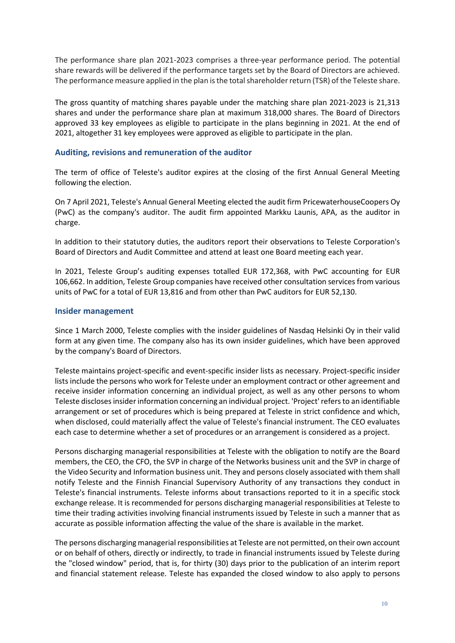The performance share plan 2021-2023 comprises a three-year performance period. The potential share rewards will be delivered if the performance targets set by the Board of Directors are achieved. The performance measure applied in the plan is the total shareholder return (TSR) of the Teleste share.

The gross quantity of matching shares payable under the matching share plan 2021-2023 is 21,313 shares and under the performance share plan at maximum 318,000 shares. The Board of Directors approved 33 key employees as eligible to participate in the plans beginning in 2021. At the end of 2021, altogether 31 key employees were approved as eligible to participate in the plan.

## **Auditing, revisions and remuneration of the auditor**

The term of office of Teleste's auditor expires at the closing of the first Annual General Meeting following the election.

On 7 April 2021, Teleste's Annual General Meeting elected the audit firm PricewaterhouseCoopers Oy (PwC) as the company's auditor. The audit firm appointed Markku Launis, APA, as the auditor in charge.

In addition to their statutory duties, the auditors report their observations to Teleste Corporation's Board of Directors and Audit Committee and attend at least one Board meeting each year.

In 2021, Teleste Group's auditing expenses totalled EUR 172,368, with PwC accounting for EUR 106,662. In addition, Teleste Group companies have received other consultation services from various units of PwC for a total of EUR 13,816 and from other than PwC auditors for EUR 52,130.

## **Insider management**

Since 1 March 2000, Teleste complies with the insider guidelines of Nasdaq Helsinki Oy in their valid form at any given time. The company also has its own insider guidelines, which have been approved by the company's Board of Directors.

Teleste maintains project-specific and event-specific insider lists as necessary. Project-specific insider lists include the persons who work for Teleste under an employment contract or other agreement and receive insider information concerning an individual project, as well as any other persons to whom Teleste discloses insider information concerning an individual project. 'Project' refers to an identifiable arrangement or set of procedures which is being prepared at Teleste in strict confidence and which, when disclosed, could materially affect the value of Teleste's financial instrument. The CEO evaluates each case to determine whether a set of procedures or an arrangement is considered as a project.

Persons discharging managerial responsibilities at Teleste with the obligation to notify are the Board members, the CEO, the CFO, the SVP in charge of the Networks business unit and the SVP in charge of the Video Security and Information business unit. They and persons closely associated with them shall notify Teleste and the Finnish Financial Supervisory Authority of any transactions they conduct in Teleste's financial instruments. Teleste informs about transactions reported to it in a specific stock exchange release. It is recommended for persons discharging managerial responsibilities at Teleste to time their trading activities involving financial instruments issued by Teleste in such a manner that as accurate as possible information affecting the value of the share is available in the market.

The persons discharging managerial responsibilities at Teleste are not permitted, on their own account or on behalf of others, directly or indirectly, to trade in financial instruments issued by Teleste during the "closed window" period, that is, for thirty (30) days prior to the publication of an interim report and financial statement release. Teleste has expanded the closed window to also apply to persons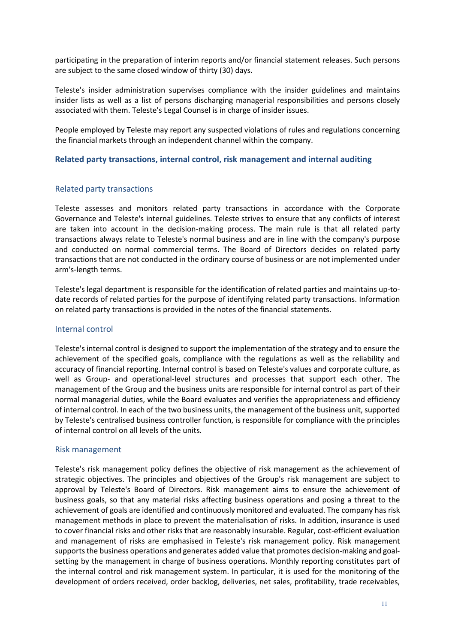participating in the preparation of interim reports and/or financial statement releases. Such persons are subject to the same closed window of thirty (30) days.

Teleste's insider administration supervises compliance with the insider guidelines and maintains insider lists as well as a list of persons discharging managerial responsibilities and persons closely associated with them. Teleste's Legal Counsel is in charge of insider issues.

People employed by Teleste may report any suspected violations of rules and regulations concerning the financial markets through an independent channel within the company.

#### **Related party transactions, internal control, risk management and internal auditing**

## Related party transactions

Teleste assesses and monitors related party transactions in accordance with the Corporate Governance and Teleste's internal guidelines. Teleste strives to ensure that any conflicts of interest are taken into account in the decision-making process. The main rule is that all related party transactions always relate to Teleste's normal business and are in line with the company's purpose and conducted on normal commercial terms. The Board of Directors decides on related party transactions that are not conducted in the ordinary course of business or are not implemented under arm's-length terms.

Teleste's legal department is responsible for the identification of related parties and maintains up-todate records of related parties for the purpose of identifying related party transactions. Information on related party transactions is provided in the notes of the financial statements.

#### Internal control

Teleste's internal control is designed to support the implementation of the strategy and to ensure the achievement of the specified goals, compliance with the regulations as well as the reliability and accuracy of financial reporting. Internal control is based on Teleste's values and corporate culture, as well as Group- and operational-level structures and processes that support each other. The management of the Group and the business units are responsible for internal control as part of their normal managerial duties, while the Board evaluates and verifies the appropriateness and efficiency of internal control. In each of the two business units, the management of the business unit, supported by Teleste's centralised business controller function, is responsible for compliance with the principles of internal control on all levels of the units.

#### Risk management

Teleste's risk management policy defines the objective of risk management as the achievement of strategic objectives. The principles and objectives of the Group's risk management are subject to approval by Teleste's Board of Directors. Risk management aims to ensure the achievement of business goals, so that any material risks affecting business operations and posing a threat to the achievement of goals are identified and continuously monitored and evaluated. The company has risk management methods in place to prevent the materialisation of risks. In addition, insurance is used to cover financial risks and other risks that are reasonably insurable. Regular, cost-efficient evaluation and management of risks are emphasised in Teleste's risk management policy. Risk management supports the business operations and generates added value that promotes decision-making and goalsetting by the management in charge of business operations. Monthly reporting constitutes part of the internal control and risk management system. In particular, it is used for the monitoring of the development of orders received, order backlog, deliveries, net sales, profitability, trade receivables,